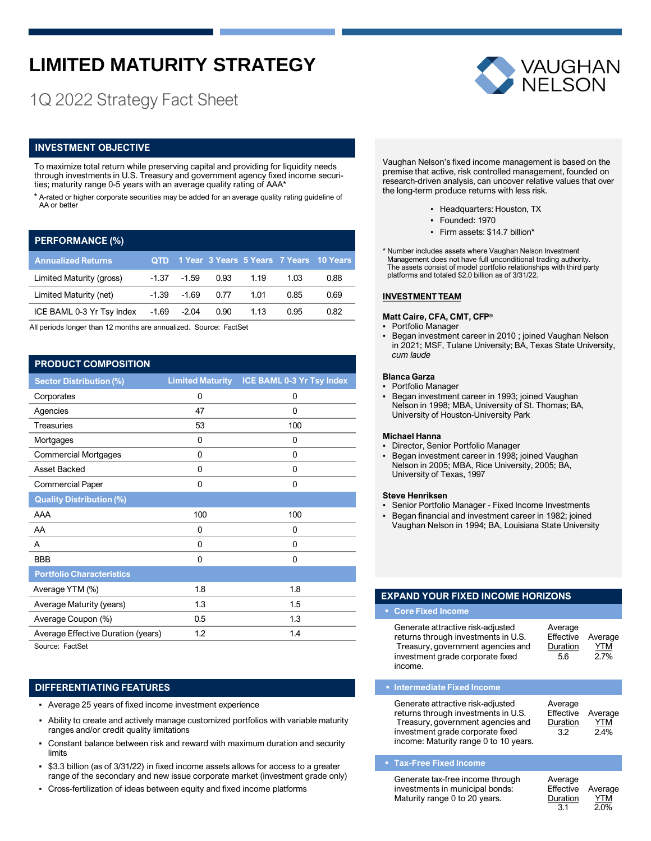# **LIMITED MATURITY STRATEGY**

# 1Q 2022 Strategy Fact Sheet

# **INVESTMENT OBJECTIVE**

To maximize total return while preserving capital and providing for liquidity needs through investments in U.S. Treasury and government agency fixed income securities; maturity range 0-5 years with an average quality rating of AAA\*

\* A-rated or higher corporate securities may be added for an average quality rating guideline of AA or better

# **PERFORMANCE (%)**

| <b>Annualized Returns</b> |       |                |      |      |      | QTD 1 Year 3 Years 5 Years 7 Years 10 Years |
|---------------------------|-------|----------------|------|------|------|---------------------------------------------|
| Limited Maturity (gross)  |       | $-1.37 - 1.59$ | 0.93 | 1.19 | 1.03 | 0.88                                        |
| Limited Maturity (net)    |       | $-1.39 - 1.69$ | 0.77 | 1.01 | 0.85 | 0.69                                        |
| ICE BAML 0-3 Yr Tsy Index | -1.69 | -2.04          | 0.90 | 1.13 | 0.95 | 0.82                                        |

All periods longer than 12 months are annualized. Source: FactSet

# **PRODUCT COMPOSITION**

| <b>Sector Distribution (%)</b>     |              | Limited Maturity ICE BAML 0-3 Yr Tsy Index |
|------------------------------------|--------------|--------------------------------------------|
| Corporates                         | 0            | 0                                          |
| Agencies                           | 47           | 0                                          |
| <b>Treasuries</b>                  | 53           | 100                                        |
| Mortgages                          | 0            | 0                                          |
| <b>Commercial Mortgages</b>        | $\mathbf{0}$ | 0                                          |
| Asset Backed                       | 0            | 0                                          |
| <b>Commercial Paper</b>            | 0            | 0                                          |
| <b>Quality Distribution (%)</b>    |              |                                            |
| AAA                                | 100          | 100                                        |
| AA                                 | $\mathbf{0}$ | 0                                          |
| A                                  | $\mathbf{0}$ | 0                                          |
| <b>BBB</b>                         | $\mathbf{0}$ | 0                                          |
| <b>Portfolio Characteristics</b>   |              |                                            |
| Average YTM (%)                    | 1.8          | 1.8                                        |
| Average Maturity (years)           | 1.3          | 1.5                                        |
| Average Coupon (%)                 | 0.5          | 1.3                                        |
| Average Effective Duration (years) | 1.2          | 1.4                                        |
| $\sim$<br>$   -$                   |              |                                            |

Source: FactSet

# **DIFFERENTIATING FEATURES**

- Average 25 years of fixed income investment experience
- Ability to create and actively manage customized portfolios with variable maturity ranges and/or credit quality limitations
- Constant balance between risk and reward with maximum duration and security limits
- \$3.3 billion (as of 3/31/22) in fixed income assets allows for access to a greater range of the secondary and new issue corporate market (investment grade only)
- Cross-fertilization of ideas between equity and fixed income platforms



Vaughan Nelson's fixed income management is based on the premise that active, risk controlled management, founded on research-driven analysis, can uncover relative values that over the long-term produce returns with less risk.

- Headquarters: Houston, TX
	- Founded: 1970
	- Firm assets: \$14.7 billion\*
- \* Number includes assets where Vaughan Nelson Investment Management does not have full unconditional trading authority. The assets consist of model portfolio relationships with third party platforms and totaled \$2.0 billion as of 3/31/22.

#### **INVESTMENT TEAM**

### **Matt Caire, CFA, CMT, CFP®**

- Portfolio Manager
- Began investment career in 2010 ; joined Vaughan Nelson in 2021; MSF, Tulane University; BA, Texas State University, *cum laude*

#### **Blanca Garza**

- Portfolio Manager
- **·** Began investment career in 1993; joined Vaughan Nelson in 1998; MBA, University of St. Thomas; BA, University of Houston-University Park

#### **Michael Hanna**

- Director, Senior Portfolio Manager
- Began investment career in 1998; joined Vaughan Nelson in 2005; MBA, Rice University, 2005; BA, University of Texas, 1997

#### **Steve Henriksen**

- Senior Portfolio Manager Fixed Income Investments
- Began financial and investment career in 1982; joined Vaughan Nelson in 1994; BA, Louisiana State University

# **EXPAND YOUR FIXED INCOME HORIZONS**

#### ▪ **Core Fixed Income**

| Generate attractive risk-adjusted<br>returns through investments in U.S.<br>Treasury, government agencies and<br>investment grade corporate fixed | Average<br>Effective<br>Duration<br>5.6 | Average<br><b>YTM</b><br>$2.7\%$ |
|---------------------------------------------------------------------------------------------------------------------------------------------------|-----------------------------------------|----------------------------------|
| income.                                                                                                                                           |                                         |                                  |

#### ▪ **Intermediate Fixed Income**

### ▪ **Tax-Free Fixed Income**

| Generate tax-free income through | Average           |            |
|----------------------------------|-------------------|------------|
| investments in municipal bonds:  | Effective Average |            |
| Maturity range 0 to 20 years.    | Duration          | <b>YTM</b> |
|                                  | 3.1               | 2.0%       |